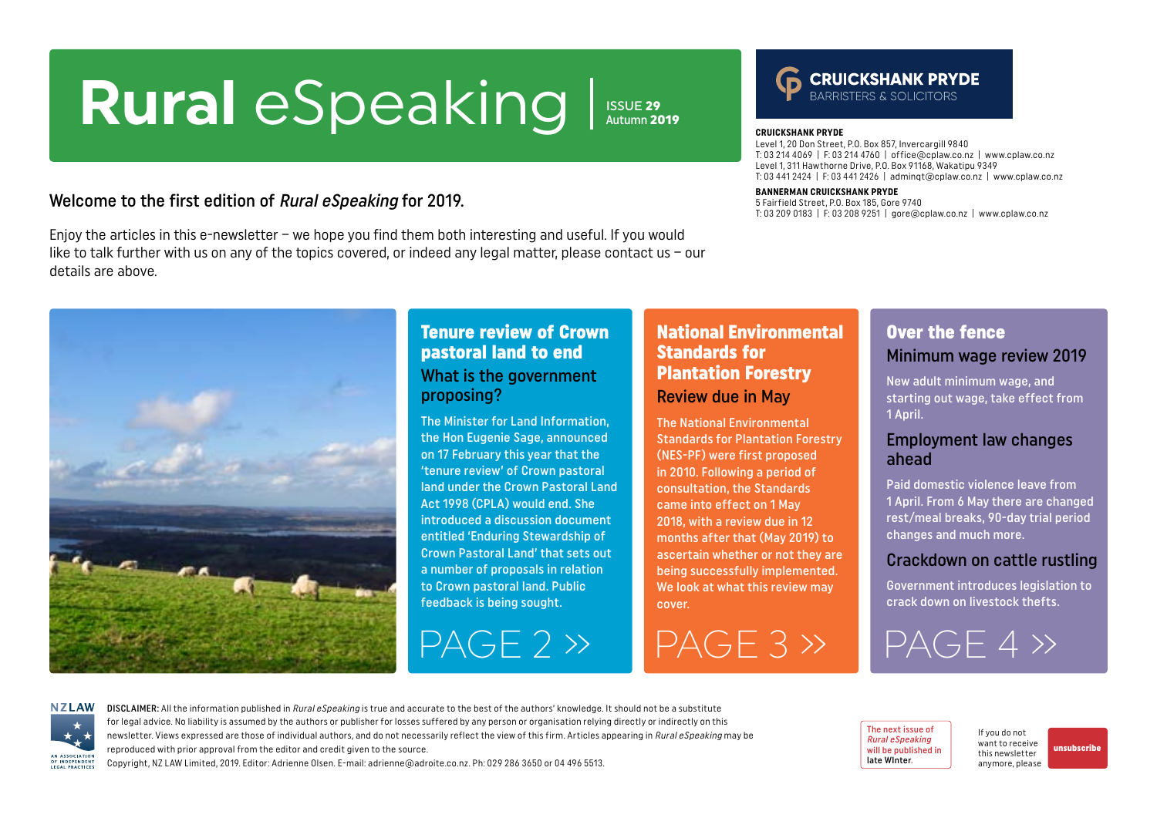# <span id="page-0-0"></span>**Rural** eSpeaking Issue 29

Welcome to the first edition of Rural eSpeaking for 2019.

Enjoy the articles in this e-newsletter – we hope you find them both interesting and useful. If you would like to talk further with us on any of the topics covered, or indeed any legal matter, please contact us – our details are above.



### Tenure review of Crown pastoral land to end What is the government proposing?

The Minister for Land Information, the Hon Eugenie Sage, announced on 17 February this year that the 'tenure review' of Crown pastoral land under the Crown Pastoral Land Act 1998 (CPLA) would end. She introduced a discussion document entitled 'Enduring Stewardship of Crown Pastoral Land' that sets out a number of proposals in relation to Crown pastoral land. Public feedback is being sought.

### National Environmental Standards for Plantation Forestry Review due in May

**CRUICKSHANK PRYDE**

**BANNERMAN CRUICKSHANK PRYDE** 5 Fairfield Street, P.O. Box 185, Gore 9740

Level 1, 20 Don Street, P.O. Box 857, Invercargill 9840

Level 1, 311 Hawthorne Drive, P.O. Box 91168, Wakatipu 9349

T: 03 214 4069 | F: 03 214 4760 | office@cplaw.co.nz | www.cplaw.co.nz

**CRUICKSHANK PRYDE** 

T: 03 209 0183 | F: 03 208 9251 | gore@cplaw.co.nz | www.cplaw.co.nz

T: 03 441 2424 | F: 03 441 2426 | adminqt@cplaw.co.nz | www.cplaw.co.nz

Autumn 2019

The National Environmental Standards for Plantation Forestry (NES-PF) were first proposed in 2010. Following a period of consultation, the Standards came into effect on 1 May 2018, with a review due in 12 months after that (May 2019) to ascertain whether or not they are being successfully implemented. We look at what this review may cover.

 $PAGE 2 \rightarrow \blacksquare PAGE 3 \rightarrow$ 

### Over the fence Minimum wage review 2019

New adult minimum wage, and starting out wage, take effect from 1 April.

#### Employment law changes ahead

Paid domestic violence leave from 1 April. From 6 May there are changed rest/meal breaks, 90-day trial period changes and much more.

#### Crackdown on cattle rustling

Government introduces legislation to crack down on livestock thefts.

[PAGE 4 »](#page-3-0)

**NZLAW** AN ASSOCIATION OF INDEPENDENT LEGAL PRACTICE

DISCLAIMER: All the information published in Rural eSpeaking is true and accurate to the best of the authors' knowledge. It should not be a substitute for legal advice. No liability is assumed by the authors or publisher for losses suffered by any person or organisation relying directly or indirectly on this newsletter. Views expressed are those of individual authors, and do not necessarily reflect the view of this firm. Articles appearing in Rural eSpeaking may be reproduced with prior approval from the editor and credit given to the source.

Copyright, NZ LAW Limited, 2019. Editor: Adrienne Olsen. [E-mail: adrienne@adroite.co.nz](mailto:adrienne@adroite.co.nz). Ph: 029 286 3650 or 04 496 5513.

The next issue of Rural eSpeaking will be published in late WInter.

If you do not want to receive this newsletter anymore, please [unsubscribe](mailto:adrienne%40adroite.co.nz?subject=Please%20unsubscribe%20me%20from%20Rural%20eSpeaking)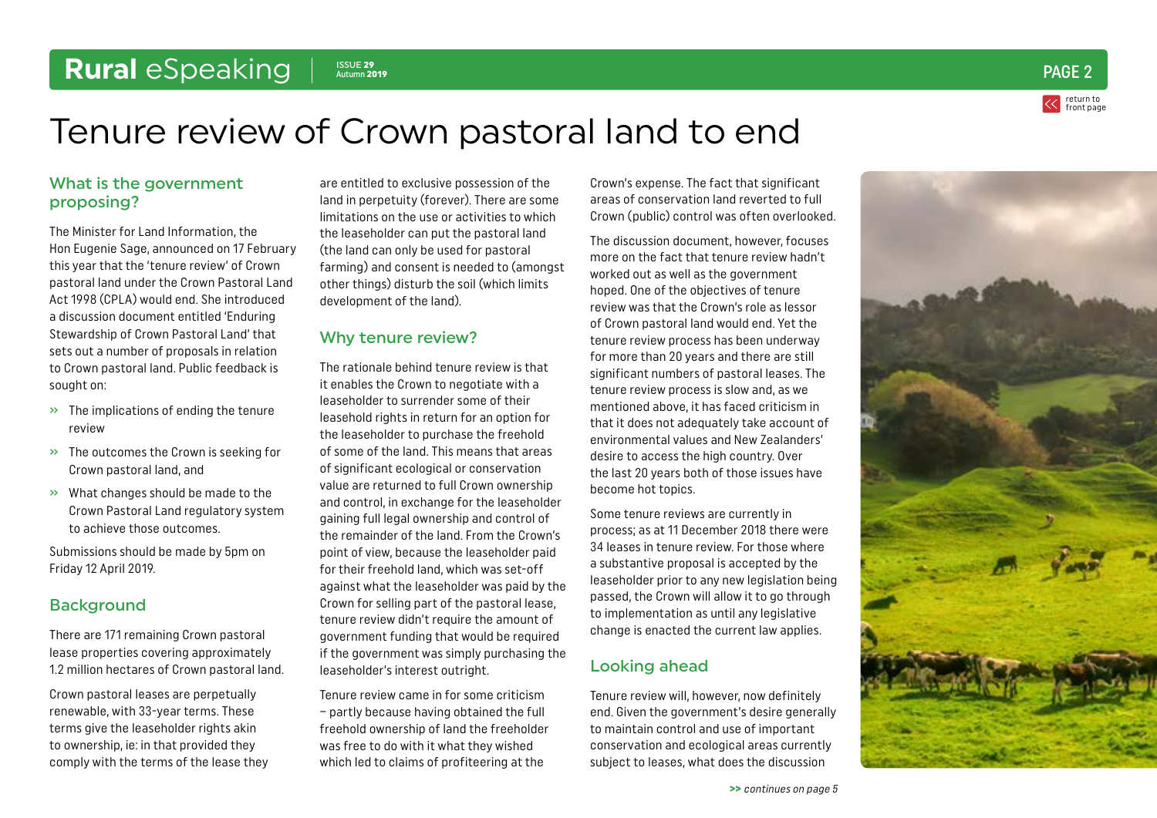## <span id="page-1-0"></span>Rural *eSpeaking* | **ISSUE 29**

return to [front page](#page-0-0)  $\frac{25}{\text{Aut} \text{Lumn}}$  2019  $\text{PAGE 2}$ 

## Tenure review of Crown pastoral land to end

#### What is the government proposing?

The Minister for Land Information, the Hon Eugenie Sage, announced on 17 February this year that the 'tenure review' of Crown pastoral land under the Crown Pastoral Land Act 1998 (CPLA) would end. She introduced a discussion document entitled 'Enduring Stewardship of Crown Pastoral Land' that sets out a number of proposals in relation to Crown pastoral land. Public feedback is sought on:

- $\rightarrow$  The implications of ending the tenure review
- » The outcomes the Crown is seeking for Crown pastoral land, and
- » What changes should be made to the Crown Pastoral Land regulatory system to achieve those outcomes.

Submissions should be made by 5pm on Friday 12 April 2019.

#### **Background**

There are 171 remaining Crown pastoral lease properties covering approximately 1.2 million hectares of Crown pastoral land.

Crown pastoral leases are perpetually renewable, with 33-year terms. These terms give the leaseholder rights akin to ownership, ie: in that provided they comply with the terms of the lease they

are entitled to exclusive possession of the land in perpetuity (forever). There are some limitations on the use or activities to which the leaseholder can put the pastoral land (the land can only be used for pastoral farming) and consent is needed to (amongst other things) disturb the soil (which limits development of the land).

#### Why tenure review?

The rationale behind tenure review is that it enables the Crown to negotiate with a leaseholder to surrender some of their leasehold rights in return for an option for the leaseholder to purchase the freehold of some of the land. This means that areas of significant ecological or conservation value are returned to full Crown ownership and control, in exchange for the leaseholder gaining full legal ownership and control of the remainder of the land. From the Crown's point of view, because the leaseholder paid for their freehold land, which was set-off against what the leaseholder was paid by the Crown for selling part of the pastoral lease, tenure review didn't require the amount of government funding that would be required if the government was simply purchasing the leaseholder's interest outright.

Tenure review came in for some criticism – partly because having obtained the full freehold ownership of land the freeholder was free to do with it what they wished which led to claims of profiteering at the

Crown's expense. The fact that significant areas of conservation land reverted to full Crown (public) control was often overlooked.

The discussion document, however, focuses more on the fact that tenure review hadn't worked out as well as the government hoped. One of the objectives of tenure review was that the Crown's role as lessor of Crown pastoral land would end. Yet the tenure review process has been underway for more than 20 years and there are still significant numbers of pastoral leases. The tenure review process is slow and, as we mentioned above, it has faced criticism in that it does not adequately take account of environmental values and New Zealanders' desire to access the high country. Over the last 20 years both of those issues have become hot topics.

Some tenure reviews are currently in process; as at 11 December 2018 there were 34 leases in tenure review. For those where a substantive proposal is accepted by the leaseholder prior to any new legislation being passed, the Crown will allow it to go through to implementation as until any legislative change is enacted the current law applies.

### Looking ahead

Tenure review will, however, now definitely end. Given the government's desire generally to maintain control and use of important conservation and ecological areas currently subject to leases, what does the discussion

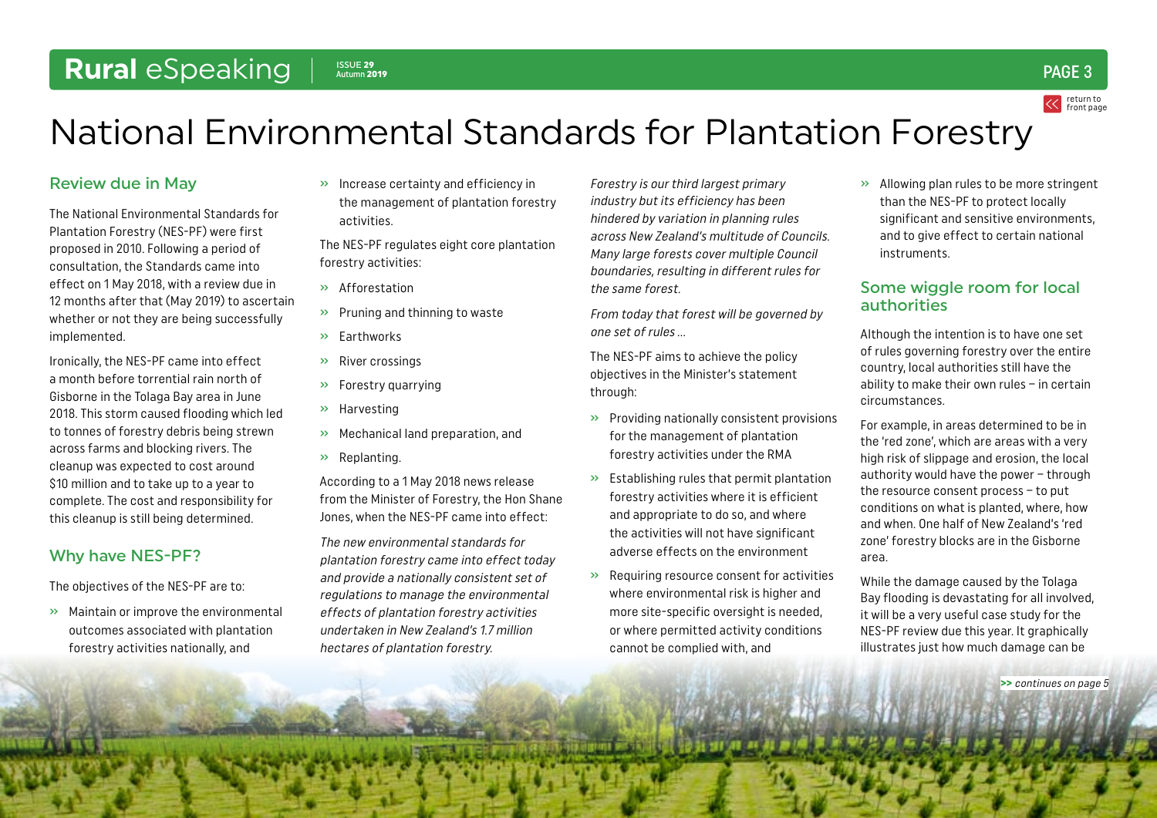## <span id="page-2-0"></span>Rural *eSpeaking* | **ISSUE 29**

 $\frac{2550E}{\text{Aut} \text{L}}$  29  $\frac{250E}{\text{Aut} \text{L}}$  29  $\frac{250E}{\text{L}}$  29  $\frac{250E}{\text{L}}$  3

return to [front page](#page-0-0)

## National Environmental Standards for Plantation Forestry

#### Review due in May

The National Environmental Standards for Plantation Forestry (NES-PF) were first proposed in 2010. Following a period of consultation, the Standards came into effect on 1 May 2018, with a review due in 12 months after that (May 2019) to ascertain whether or not they are being successfully implemented.

Ironically, the NES-PF came into effect a month before torrential rain north of Gisborne in the Tolaga Bay area in June 2018. This storm caused flooding which led to tonnes of forestry debris being strewn across farms and blocking rivers. The cleanup was expected to cost around \$10 million and to take up to a year to complete. The cost and responsibility for this cleanup is still being determined.

### Why have NES-PF?

The objectives of the NES-PF are to:

» Maintain or improve the environmental outcomes associated with plantation forestry activities nationally, and

» Increase certainty and efficiency in the management of plantation forestry activities.

The NES-PF regulates eight core plantation forestry activities:

- » Afforestation
- » Pruning and thinning to waste
- » Earthworks
- » River crossings
- » Forestry quarrying
- » Harvesting
- » Mechanical land preparation, and
- » Replanting.

According to a 1 May 2018 news release from the Minister of Forestry, the Hon Shane Jones, when the NES-PF came into effect:

The new environmental standards for plantation forestry came into effect today and provide a nationally consistent set of regulations to manage the environmental effects of plantation forestry activities undertaken in New Zealand's 1.7 million hectares of plantation forestry.

Forestry is our third largest primary industry but its efficiency has been hindered by variation in planning rules across New Zealand's multitude of Councils. Many large forests cover multiple Council boundaries, resulting in different rules for the same forest.

From today that forest will be governed by one set of rules …

The NES-PF aims to achieve the policy objectives in the Minister's statement through:

- » Providing nationally consistent provisions for the management of plantation forestry activities under the RMA
- » Establishing rules that permit plantation forestry activities where it is efficient and appropriate to do so, and where the activities will not have significant adverse effects on the environment
- » Requiring resource consent for activities where environmental risk is higher and more site-specific oversight is needed, or where permitted activity conditions cannot be complied with, and

» Allowing plan rules to be more stringent than the NES-PF to protect locally significant and sensitive environments, and to give effect to certain national instruments.

#### Some wiggle room for local authorities

Although the intention is to have one set of rules governing forestry over the entire country, local authorities still have the ability to make their own rules – in certain circumstances.

For example, in areas determined to be in the 'red zone', which are areas with a very high risk of slippage and erosion, the local authority would have the power – through the resource consent process – to put conditions on what is planted, where, how and when. One half of New Zealand's 'red zone' forestry blocks are in the Gisborne area.

While the damage caused by the Tolaga Bay flooding is devastating for all involved, it will be a very useful case study for the NES-PF review due this year. It graphically illustrates just how much damage can be

>> [continues on page 5](#page-4-0)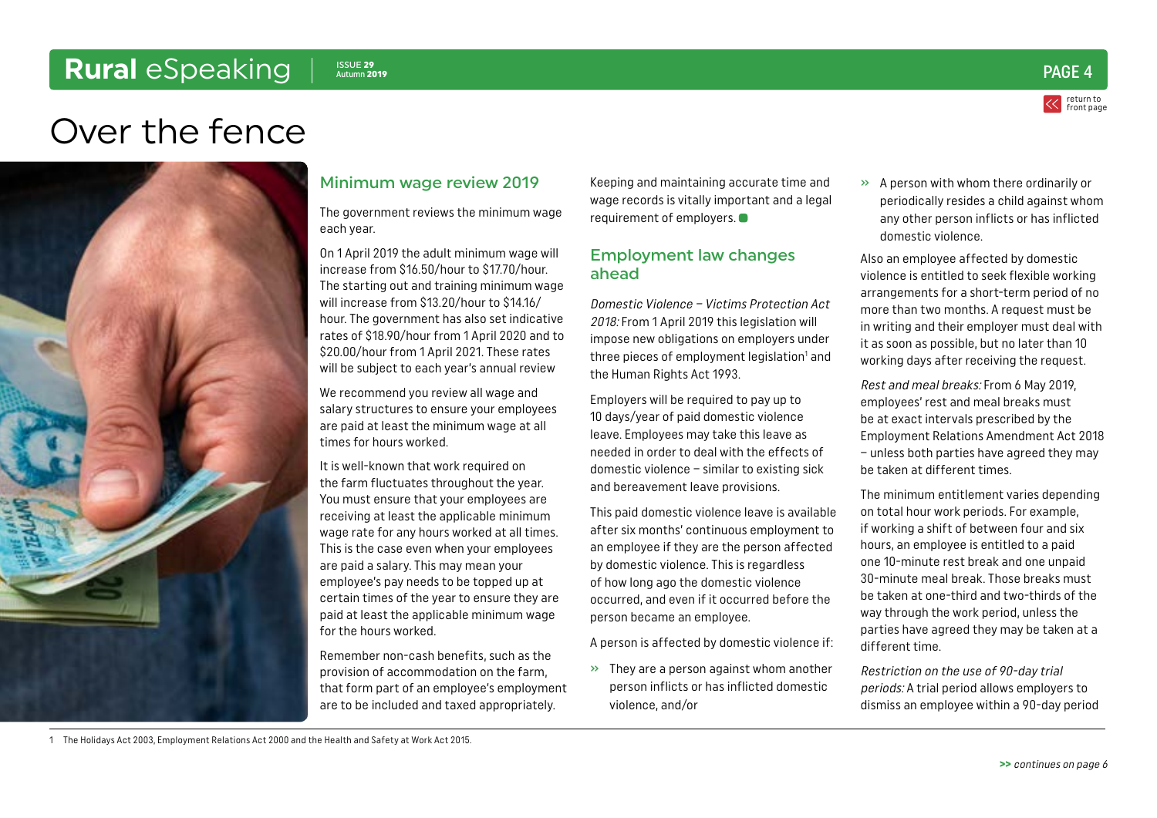## <span id="page-3-0"></span>Rural *eSpeaking* | **ISSUE 29**



## Over the fence



#### Minimum wage review 2019

The government reviews the minimum wage each year.

On 1 April 2019 the adult minimum wage will increase from \$16.50/hour to \$17.70/hour. The starting out and training minimum wage will increase from \$13.20/hour to \$14.16/ hour. The government has also set indicative rates of \$18.90/hour from 1 April 2020 and to \$20.00/hour from 1 April 2021. These rates will be subject to each year's annual review

We recommend you review all wage and salary structures to ensure your employees are paid at least the minimum wage at all times for hours worked.

It is well-known that work required on the farm fluctuates throughout the year. You must ensure that your employees are receiving at least the applicable minimum wage rate for any hours worked at all times. This is the case even when your employees are paid a salary. This may mean your employee's pay needs to be topped up at certain times of the year to ensure they are paid at least the applicable minimum wage for the hours worked.

Remember non-cash benefits, such as the provision of accommodation on the farm, that form part of an employee's employment are to be included and taxed appropriately.

Keeping and maintaining accurate time and wage records is vitally important and a legal requirement of employers.

#### Employment law changes ahead

Domestic Violence – Victims Protection Act 2018: From 1 April 2019 this legislation will impose new obligations on employers under three pieces of employment legislation $^{\rm 1}$  and the Human Rights Act 1993.

Employers will be required to pay up to 10 days/year of paid domestic violence leave. Employees may take this leave as needed in order to deal with the effects of domestic violence – similar to existing sick and bereavement leave provisions.

This paid domestic violence leave is available after six months' continuous employment to an employee if they are the person affected by domestic violence. This is regardless of how long ago the domestic violence occurred, and even if it occurred before the person became an employee.

A person is affected by domestic violence if:

» They are a person against whom another person inflicts or has inflicted domestic violence, and/or

» A person with whom there ordinarily or periodically resides a child against whom any other person inflicts or has inflicted domestic violence.

Also an employee affected by domestic violence is entitled to seek flexible working arrangements for a short-term period of no more than two months. A request must be in writing and their employer must deal with it as soon as possible, but no later than 10 working days after receiving the request.

Rest and meal breaks: From 6 May 2019, employees' rest and meal breaks must be at exact intervals prescribed by the Employment Relations Amendment Act 2018 – unless both parties have agreed they may be taken at different times.

The minimum entitlement varies depending on total hour work periods. For example, if working a shift of between four and six hours, an employee is entitled to a paid one 10-minute rest break and one unpaid 30-minute meal break. Those breaks must be taken at one-third and two-thirds of the way through the work period, unless the parties have agreed they may be taken at a different time.

Restriction on the use of 90-day trial periods: A trial period allows employers to dismiss an employee within a 90-day period

1 The Holidays Act 2003, Employment Relations Act 2000 and the Health and Safety at Work Act 2015.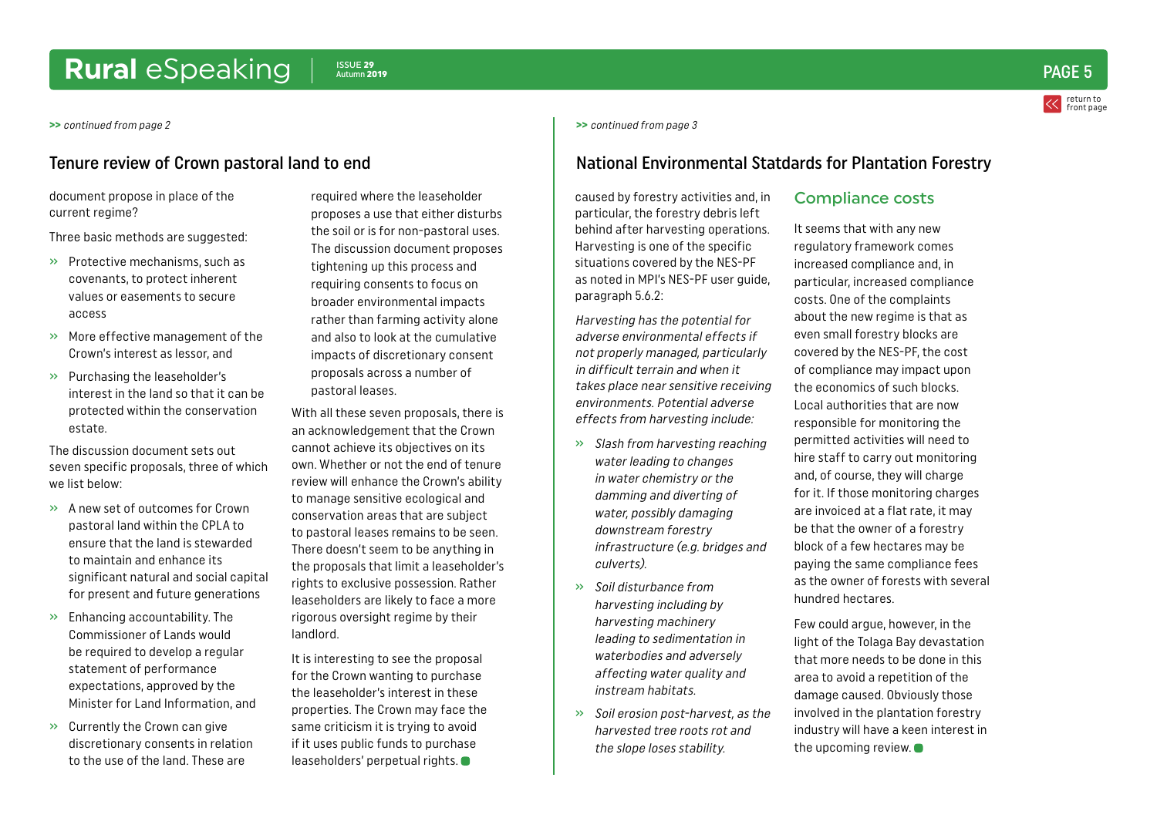## <span id="page-4-0"></span>Rural *eSpeaking* |  $\frac{ISSUE 29}{Autmm 2019}$

document propose in place of the current regime?

Three basic methods are suggested:

- » Protective mechanisms, such as covenants, to protect inherent values or easements to secure access
- » More effective management of the Crown's interest as lessor, and
- » Purchasing the leaseholder's interest in the land so that it can be protected within the conservation estate.

The discussion document sets out seven specific proposals, three of which we list below:

- » A new set of outcomes for Crown pastoral land within the CPLA to ensure that the land is stewarded to maintain and enhance its significant natural and social capital for present and future generations
- » Enhancing accountability. The Commissioner of Lands would be required to develop a regular statement of performance expectations, approved by the Minister for Land Information, and
- » Currently the Crown can give discretionary consents in relation to the use of the land. These are

required where the leaseholder proposes a use that either disturbs the soil or is for non-pastoral uses. The discussion document proposes tightening up this process and requiring consents to focus on broader environmental impacts rather than farming activity alone and also to look at the cumulative impacts of discretionary consent proposals across a number of pastoral leases.

With all these seven proposals, there is an acknowledgement that the Crown cannot achieve its objectives on its own. Whether or not the end of tenure review will enhance the Crown's ability to manage sensitive ecological and conservation areas that are subject to pastoral leases remains to be seen. There doesn't seem to be anything in the proposals that limit a leaseholder's rights to exclusive possession. Rather leaseholders are likely to face a more rigorous oversight regime by their landlord.

It is interesting to see the proposal for the Crown wanting to purchase the leaseholder's interest in these properties. The Crown may face the same criticism it is trying to avoid if it uses public funds to purchase leaseholders' perpetual rights.

#### >> [continued from page 2](#page-1-0) >> [continued from page 3](#page-2-0)

#### Tenure review of Crown pastoral land to end National Environmental Statdards for Plantation Forestry

caused by forestry activities and, in particular, the forestry debris left behind after harvesting operations. Harvesting is one of the specific situations covered by the NES-PF as noted in MPI's NES-PF user guide, paragraph 5.6.2:

Harvesting has the potential for adverse environmental effects if not properly managed, particularly in difficult terrain and when it takes place near sensitive receiving environments. Potential adverse effects from harvesting include:

- » Slash from harvesting reaching water leading to changes in water chemistry or the damming and diverting of water, possibly damaging downstream forestry infrastructure (e.g. bridges and culverts).
- » Soil disturbance from harvesting including by harvesting machinery leading to sedimentation in waterbodies and adversely affecting water quality and instream habitats.
- » Soil erosion post-harvest, as the harvested tree roots rot and the slope loses stability.

#### Compliance costs

It seems that with any new regulatory framework comes increased compliance and, in particular, increased compliance costs. One of the complaints about the new regime is that as even small forestry blocks are covered by the NES-PF, the cost of compliance may impact upon the economics of such blocks. Local authorities that are now responsible for monitoring the permitted activities will need to hire staff to carry out monitoring and, of course, they will charge for it. If those monitoring charges are invoiced at a flat rate, it may be that the owner of a forestry block of a few hectares may be paying the same compliance fees as the owner of forests with several hundred hectares.

Few could argue, however, in the light of the Tolaga Bay devastation that more needs to be done in this area to avoid a repetition of the damage caused. Obviously those involved in the plantation forestry industry will have a keen interest in the upcoming review.